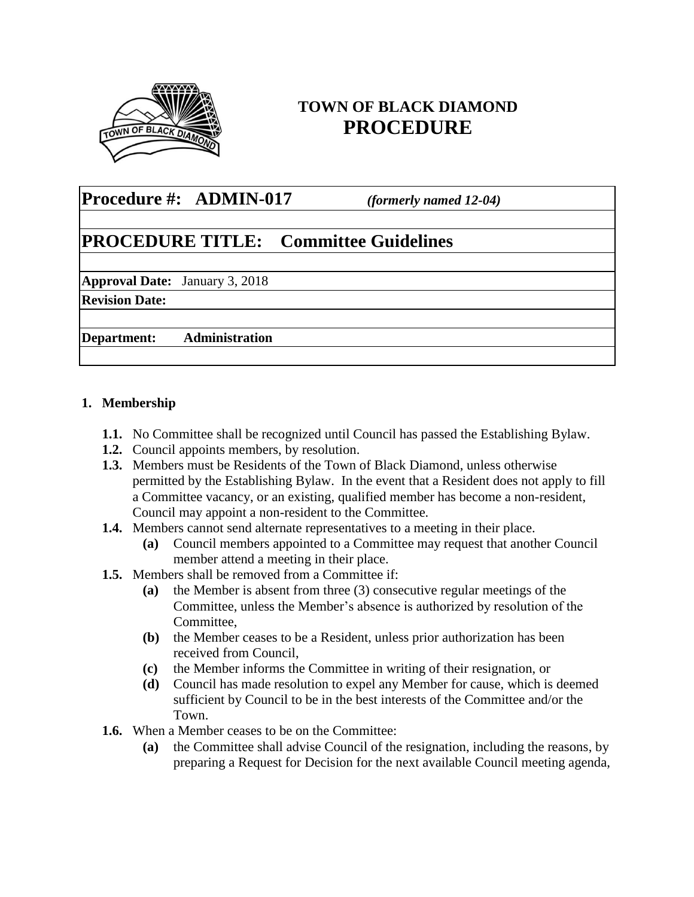

# **TOWN OF BLACK DIAMOND PROCEDURE**

## **Procedure #: ADMIN-017** *(formerly named 12-04)*

# **PROCEDURE TITLE: Committee Guidelines**

**Approval Date:** January 3, 2018

**Revision Date:** 

**Department: Administration**

## **1. Membership**

- **1.1.** No Committee shall be recognized until Council has passed the Establishing Bylaw.
- **1.2.** Council appoints members, by resolution.
- **1.3.** Members must be Residents of the Town of Black Diamond, unless otherwise permitted by the Establishing Bylaw. In the event that a Resident does not apply to fill a Committee vacancy, or an existing, qualified member has become a non-resident, Council may appoint a non-resident to the Committee.
- **1.4.** Members cannot send alternate representatives to a meeting in their place.
	- **(a)** Council members appointed to a Committee may request that another Council member attend a meeting in their place.
- **1.5.** Members shall be removed from a Committee if:
	- **(a)** the Member is absent from three (3) consecutive regular meetings of the Committee, unless the Member's absence is authorized by resolution of the Committee,
	- **(b)** the Member ceases to be a Resident, unless prior authorization has been received from Council,
	- **(c)** the Member informs the Committee in writing of their resignation, or
	- **(d)** Council has made resolution to expel any Member for cause, which is deemed sufficient by Council to be in the best interests of the Committee and/or the Town.
- **1.6.** When a Member ceases to be on the Committee:
	- **(a)** the Committee shall advise Council of the resignation, including the reasons, by preparing a Request for Decision for the next available Council meeting agenda,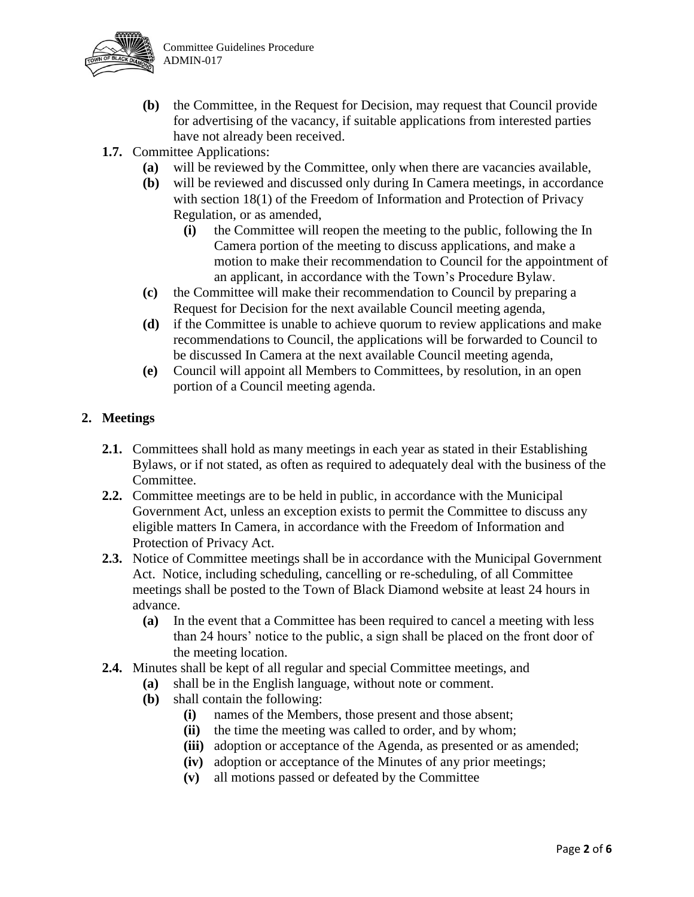

- **(b)** the Committee, in the Request for Decision, may request that Council provide for advertising of the vacancy, if suitable applications from interested parties have not already been received.
- **1.7.** Committee Applications:
	- **(a)** will be reviewed by the Committee, only when there are vacancies available,
	- **(b)** will be reviewed and discussed only during In Camera meetings, in accordance with section 18(1) of the Freedom of Information and Protection of Privacy Regulation, or as amended,
		- **(i)** the Committee will reopen the meeting to the public, following the In Camera portion of the meeting to discuss applications, and make a motion to make their recommendation to Council for the appointment of an applicant, in accordance with the Town's Procedure Bylaw.
	- **(c)** the Committee will make their recommendation to Council by preparing a Request for Decision for the next available Council meeting agenda,
	- **(d)** if the Committee is unable to achieve quorum to review applications and make recommendations to Council, the applications will be forwarded to Council to be discussed In Camera at the next available Council meeting agenda,
	- **(e)** Council will appoint all Members to Committees, by resolution, in an open portion of a Council meeting agenda.

## **2. Meetings**

- **2.1.** Committees shall hold as many meetings in each year as stated in their Establishing Bylaws, or if not stated, as often as required to adequately deal with the business of the Committee.
- **2.2.** Committee meetings are to be held in public, in accordance with the Municipal Government Act, unless an exception exists to permit the Committee to discuss any eligible matters In Camera, in accordance with the Freedom of Information and Protection of Privacy Act.
- **2.3.** Notice of Committee meetings shall be in accordance with the Municipal Government Act. Notice, including scheduling, cancelling or re-scheduling, of all Committee meetings shall be posted to the Town of Black Diamond website at least 24 hours in advance.
	- **(a)** In the event that a Committee has been required to cancel a meeting with less than 24 hours' notice to the public, a sign shall be placed on the front door of the meeting location.
- **2.4.** Minutes shall be kept of all regular and special Committee meetings, and
	- **(a)** shall be in the English language, without note or comment.
	- **(b)** shall contain the following:
		- **(i)** names of the Members, those present and those absent;
		- **(ii)** the time the meeting was called to order, and by whom;
		- **(iii)** adoption or acceptance of the Agenda, as presented or as amended;
		- **(iv)** adoption or acceptance of the Minutes of any prior meetings;
		- **(v)** all motions passed or defeated by the Committee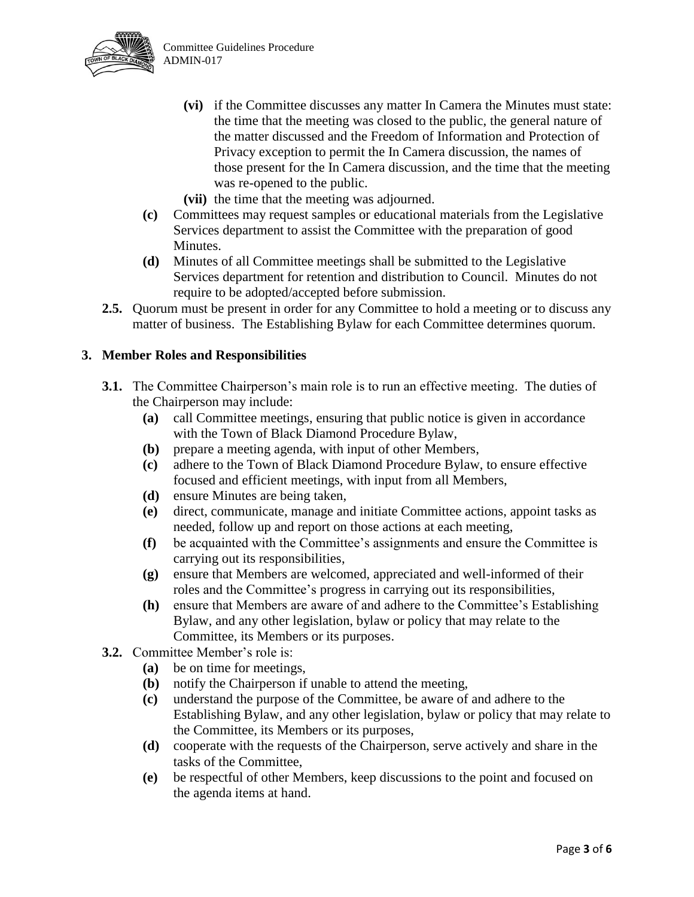

- **(vi)** if the Committee discusses any matter In Camera the Minutes must state: the time that the meeting was closed to the public, the general nature of the matter discussed and the Freedom of Information and Protection of Privacy exception to permit the In Camera discussion, the names of those present for the In Camera discussion, and the time that the meeting was re-opened to the public.
- **(vii)** the time that the meeting was adjourned.
- **(c)** Committees may request samples or educational materials from the Legislative Services department to assist the Committee with the preparation of good Minutes.
- **(d)** Minutes of all Committee meetings shall be submitted to the Legislative Services department for retention and distribution to Council. Minutes do not require to be adopted/accepted before submission.
- **2.5.** Quorum must be present in order for any Committee to hold a meeting or to discuss any matter of business. The Establishing Bylaw for each Committee determines quorum.

## **3. Member Roles and Responsibilities**

- **3.1.** The Committee Chairperson's main role is to run an effective meeting. The duties of the Chairperson may include:
	- **(a)** call Committee meetings, ensuring that public notice is given in accordance with the Town of Black Diamond Procedure Bylaw,
	- **(b)** prepare a meeting agenda, with input of other Members,
	- **(c)** adhere to the Town of Black Diamond Procedure Bylaw, to ensure effective focused and efficient meetings, with input from all Members,
	- **(d)** ensure Minutes are being taken,
	- **(e)** direct, communicate, manage and initiate Committee actions, appoint tasks as needed, follow up and report on those actions at each meeting,
	- **(f)** be acquainted with the Committee's assignments and ensure the Committee is carrying out its responsibilities,
	- **(g)** ensure that Members are welcomed, appreciated and well-informed of their roles and the Committee's progress in carrying out its responsibilities,
	- **(h)** ensure that Members are aware of and adhere to the Committee's Establishing Bylaw, and any other legislation, bylaw or policy that may relate to the Committee, its Members or its purposes.
- **3.2.** Committee Member's role is:
	- **(a)** be on time for meetings,
	- **(b)** notify the Chairperson if unable to attend the meeting,
	- **(c)** understand the purpose of the Committee, be aware of and adhere to the Establishing Bylaw, and any other legislation, bylaw or policy that may relate to the Committee, its Members or its purposes,
	- **(d)** cooperate with the requests of the Chairperson, serve actively and share in the tasks of the Committee,
	- **(e)** be respectful of other Members, keep discussions to the point and focused on the agenda items at hand.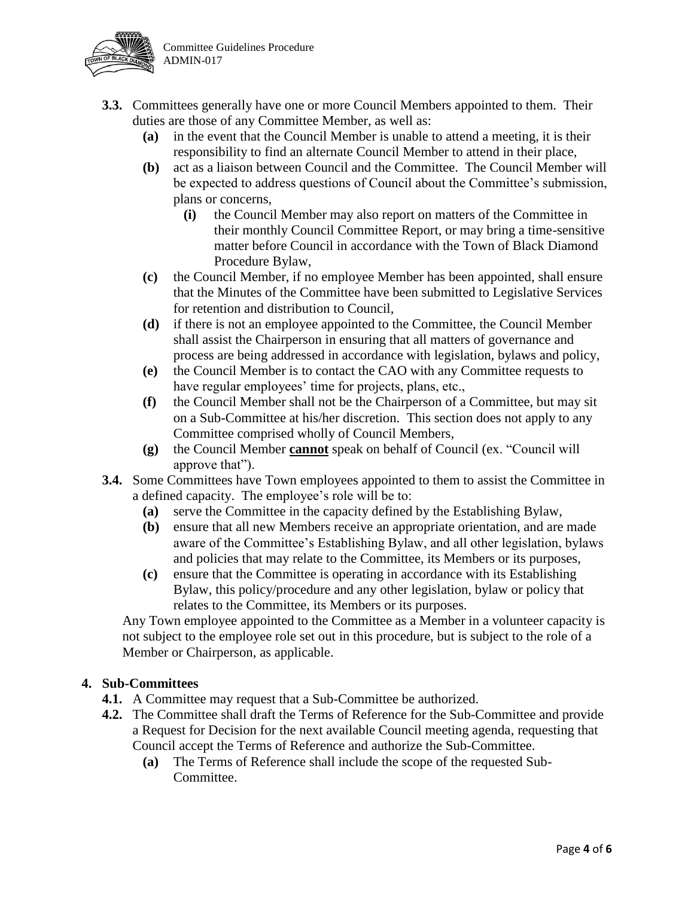

- **3.3.** Committees generally have one or more Council Members appointed to them. Their duties are those of any Committee Member, as well as:
	- **(a)** in the event that the Council Member is unable to attend a meeting, it is their responsibility to find an alternate Council Member to attend in their place,
	- **(b)** act as a liaison between Council and the Committee. The Council Member will be expected to address questions of Council about the Committee's submission, plans or concerns,
		- **(i)** the Council Member may also report on matters of the Committee in their monthly Council Committee Report, or may bring a time-sensitive matter before Council in accordance with the Town of Black Diamond Procedure Bylaw,
	- **(c)** the Council Member, if no employee Member has been appointed, shall ensure that the Minutes of the Committee have been submitted to Legislative Services for retention and distribution to Council,
	- **(d)** if there is not an employee appointed to the Committee, the Council Member shall assist the Chairperson in ensuring that all matters of governance and process are being addressed in accordance with legislation, bylaws and policy,
	- **(e)** the Council Member is to contact the CAO with any Committee requests to have regular employees' time for projects, plans, etc.,
	- **(f)** the Council Member shall not be the Chairperson of a Committee, but may sit on a Sub-Committee at his/her discretion. This section does not apply to any Committee comprised wholly of Council Members,
	- **(g)** the Council Member **cannot** speak on behalf of Council (ex. "Council will approve that").
- **3.4.** Some Committees have Town employees appointed to them to assist the Committee in a defined capacity. The employee's role will be to:
	- **(a)** serve the Committee in the capacity defined by the Establishing Bylaw,
	- **(b)** ensure that all new Members receive an appropriate orientation, and are made aware of the Committee's Establishing Bylaw, and all other legislation, bylaws and policies that may relate to the Committee, its Members or its purposes,
	- **(c)** ensure that the Committee is operating in accordance with its Establishing Bylaw, this policy/procedure and any other legislation, bylaw or policy that relates to the Committee, its Members or its purposes.

Any Town employee appointed to the Committee as a Member in a volunteer capacity is not subject to the employee role set out in this procedure, but is subject to the role of a Member or Chairperson, as applicable.

## **4. Sub-Committees**

- **4.1.** A Committee may request that a Sub-Committee be authorized.
- **4.2.** The Committee shall draft the Terms of Reference for the Sub-Committee and provide a Request for Decision for the next available Council meeting agenda, requesting that Council accept the Terms of Reference and authorize the Sub-Committee.
	- **(a)** The Terms of Reference shall include the scope of the requested Sub-Committee.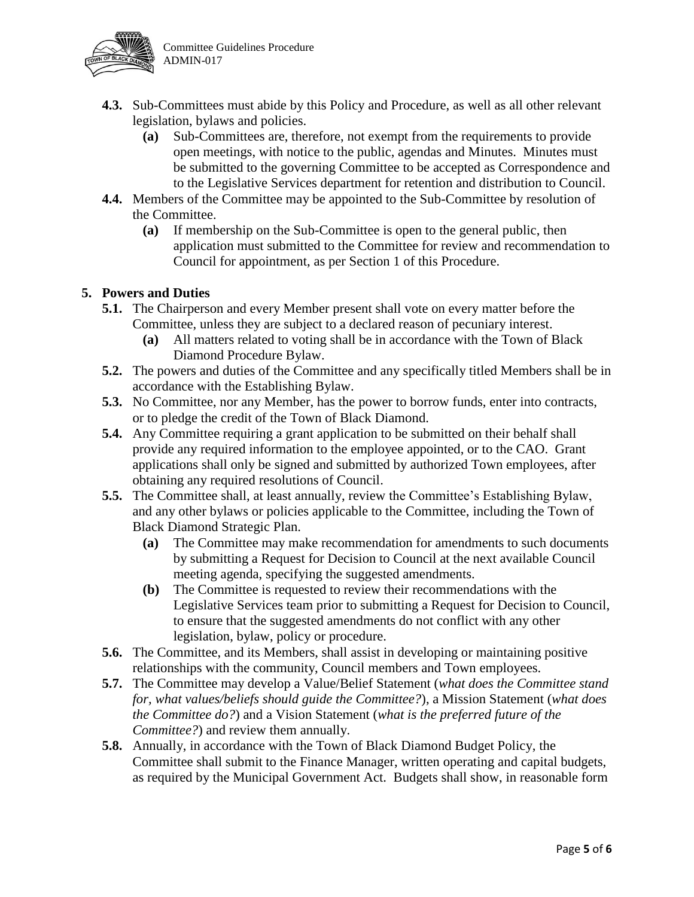

- **4.3.** Sub-Committees must abide by this Policy and Procedure, as well as all other relevant legislation, bylaws and policies.
	- **(a)** Sub-Committees are, therefore, not exempt from the requirements to provide open meetings, with notice to the public, agendas and Minutes. Minutes must be submitted to the governing Committee to be accepted as Correspondence and to the Legislative Services department for retention and distribution to Council.
- **4.4.** Members of the Committee may be appointed to the Sub-Committee by resolution of the Committee.
	- **(a)** If membership on the Sub-Committee is open to the general public, then application must submitted to the Committee for review and recommendation to Council for appointment, as per Section 1 of this Procedure.

## **5. Powers and Duties**

- **5.1.** The Chairperson and every Member present shall vote on every matter before the Committee, unless they are subject to a declared reason of pecuniary interest.
	- **(a)** All matters related to voting shall be in accordance with the Town of Black Diamond Procedure Bylaw.
- **5.2.** The powers and duties of the Committee and any specifically titled Members shall be in accordance with the Establishing Bylaw.
- **5.3.** No Committee, nor any Member, has the power to borrow funds, enter into contracts, or to pledge the credit of the Town of Black Diamond.
- **5.4.** Any Committee requiring a grant application to be submitted on their behalf shall provide any required information to the employee appointed, or to the CAO. Grant applications shall only be signed and submitted by authorized Town employees, after obtaining any required resolutions of Council.
- **5.5.** The Committee shall, at least annually, review the Committee's Establishing Bylaw, and any other bylaws or policies applicable to the Committee, including the Town of Black Diamond Strategic Plan.
	- **(a)** The Committee may make recommendation for amendments to such documents by submitting a Request for Decision to Council at the next available Council meeting agenda, specifying the suggested amendments.
	- **(b)** The Committee is requested to review their recommendations with the Legislative Services team prior to submitting a Request for Decision to Council, to ensure that the suggested amendments do not conflict with any other legislation, bylaw, policy or procedure.
- **5.6.** The Committee, and its Members, shall assist in developing or maintaining positive relationships with the community, Council members and Town employees.
- **5.7.** The Committee may develop a Value/Belief Statement (*what does the Committee stand for, what values/beliefs should guide the Committee?*), a Mission Statement (*what does the Committee do?*) and a Vision Statement (*what is the preferred future of the Committee?*) and review them annually.
- **5.8.** Annually, in accordance with the Town of Black Diamond Budget Policy, the Committee shall submit to the Finance Manager, written operating and capital budgets, as required by the Municipal Government Act. Budgets shall show, in reasonable form